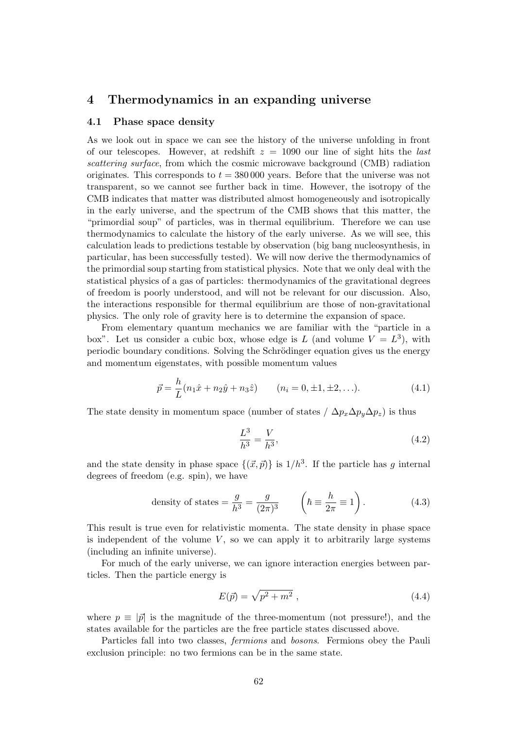# 4 Thermodynamics in an expanding universe

## 4.1 Phase space density

As we look out in space we can see the history of the universe unfolding in front of our telescopes. However, at redshift  $z = 1090$  our line of sight hits the *last* scattering surface, from which the cosmic microwave background (CMB) radiation originates. This corresponds to  $t = 380,000$  years. Before that the universe was not transparent, so we cannot see further back in time. However, the isotropy of the CMB indicates that matter was distributed almost homogeneously and isotropically in the early universe, and the spectrum of the CMB shows that this matter, the "primordial soup" of particles, was in thermal equilibrium. Therefore we can use thermodynamics to calculate the history of the early universe. As we will see, this calculation leads to predictions testable by observation (big bang nucleosynthesis, in particular, has been successfully tested). We will now derive the thermodynamics of the primordial soup starting from statistical physics. Note that we only deal with the statistical physics of a gas of particles: thermodynamics of the gravitational degrees of freedom is poorly understood, and will not be relevant for our discussion. Also, the interactions responsible for thermal equilibrium are those of non-gravitational physics. The only role of gravity here is to determine the expansion of space.

From elementary quantum mechanics we are familiar with the "particle in a box". Let us consider a cubic box, whose edge is L (and volume  $V = L^3$ ), with periodic boundary conditions. Solving the Schrödinger equation gives us the energy and momentum eigenstates, with possible momentum values

$$
\vec{p} = \frac{h}{L}(n_1\hat{x} + n_2\hat{y} + n_3\hat{z}) \qquad (n_i = 0, \pm 1, \pm 2, \ldots). \tag{4.1}
$$

The state density in momentum space (number of states /  $\Delta p_x \Delta p_y \Delta p_z$ ) is thus

$$
\frac{L^3}{h^3} = \frac{V}{h^3},\tag{4.2}
$$

and the state density in phase space  $\{(\vec{x}, \vec{p})\}$  is  $1/h^3$ . If the particle has g internal degrees of freedom (e.g. spin), we have

density of states 
$$
=\frac{g}{h^3} = \frac{g}{(2\pi)^3}
$$
  $\left(\hbar \equiv \frac{h}{2\pi} \equiv 1\right)$ . (4.3)

This result is true even for relativistic momenta. The state density in phase space is independent of the volume  $V$ , so we can apply it to arbitrarily large systems (including an infinite universe).

For much of the early universe, we can ignore interaction energies between particles. Then the particle energy is

$$
E(\vec{p}) = \sqrt{p^2 + m^2} \tag{4.4}
$$

where  $p \equiv |\vec{p}|$  is the magnitude of the three-momentum (not pressure!), and the states available for the particles are the free particle states discussed above.

Particles fall into two classes, fermions and bosons. Fermions obey the Pauli exclusion principle: no two fermions can be in the same state.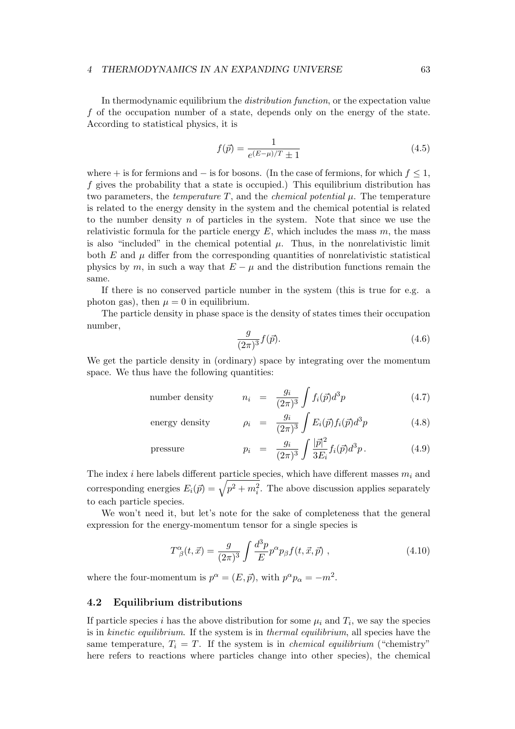In thermodynamic equilibrium the *distribution function*, or the expectation value f of the occupation number of a state, depends only on the energy of the state. According to statistical physics, it is

$$
f(\vec{p}) = \frac{1}{e^{(E-\mu)/T} \pm 1} \tag{4.5}
$$

where + is for fermions and  $-$  is for bosons. (In the case of fermions, for which  $f \leq 1$ , f gives the probability that a state is occupied.) This equilibrium distribution has two parameters, the *temperature T*, and the *chemical potential*  $\mu$ . The temperature is related to the energy density in the system and the chemical potential is related to the number density  $n$  of particles in the system. Note that since we use the relativistic formula for the particle energy  $E$ , which includes the mass  $m$ , the mass is also "included" in the chemical potential  $\mu$ . Thus, in the nonrelativistic limit both  $E$  and  $\mu$  differ from the corresponding quantities of nonrelativistic statistical physics by m, in such a way that  $E - \mu$  and the distribution functions remain the same.

If there is no conserved particle number in the system (this is true for e.g. a photon gas), then  $\mu = 0$  in equilibrium.

The particle density in phase space is the density of states times their occupation number,

$$
\frac{g}{(2\pi)^3}f(\vec{p}).\tag{4.6}
$$

We get the particle density in (ordinary) space by integrating over the momentum space. We thus have the following quantities:

number density 
$$
n_i = \frac{g_i}{(2\pi)^3} \int f_i(\vec{p}) d^3p
$$
 (4.7)

energy density 
$$
\rho_i = \frac{g_i}{(2\pi)^3} \int E_i(\vec{p}) f_i(\vec{p}) d^3p
$$
 (4.8)

pressure 
$$
p_i = \frac{g_i}{(2\pi)^3} \int \frac{|\vec{p}|^2}{3E_i} f_i(\vec{p}) d^3p
$$
. (4.9)

The index *i* here labels different particle species, which have different masses  $m_i$  and corresponding energies  $E_i(\vec{p}) = \sqrt{p^2 + m_i^2}$ . The above discussion applies separately to each particle species.

We won't need it, but let's note for the sake of completeness that the general expression for the energy-momentum tensor for a single species is

$$
T^{\alpha}_{\ \beta}(t,\vec{x}) = \frac{g}{(2\pi)^3} \int \frac{d^3p}{E} p^{\alpha} p_{\beta} f(t,\vec{x},\vec{p}) , \qquad (4.10)
$$

where the four-momentum is  $p^{\alpha} = (E, \vec{p})$ , with  $p^{\alpha} p_{\alpha} = -m^2$ .

### 4.2 Equilibrium distributions

If particle species *i* has the above distribution for some  $\mu_i$  and  $T_i$ , we say the species is in kinetic equilibrium. If the system is in thermal equilibrium, all species have the same temperature,  $T_i = T$ . If the system is in *chemical equilibrium* ("chemistry") here refers to reactions where particles change into other species), the chemical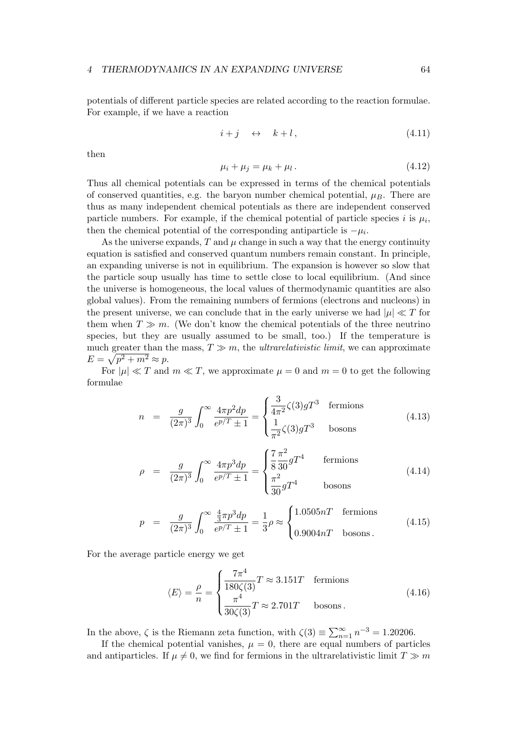potentials of different particle species are related according to the reaction formulae. For example, if we have a reaction

$$
i + j \quad \leftrightarrow \quad k + l \,, \tag{4.11}
$$

then

$$
\mu_i + \mu_j = \mu_k + \mu_l. \tag{4.12}
$$

Thus all chemical potentials can be expressed in terms of the chemical potentials of conserved quantities, e.g. the baryon number chemical potential,  $\mu_B$ . There are thus as many independent chemical potentials as there are independent conserved particle numbers. For example, if the chemical potential of particle species i is  $\mu_i$ , then the chemical potential of the corresponding antiparticle is  $-\mu_i$ .

As the universe expands,  $T$  and  $\mu$  change in such a way that the energy continuity equation is satisfied and conserved quantum numbers remain constant. In principle, an expanding universe is not in equilibrium. The expansion is however so slow that the particle soup usually has time to settle close to local equilibrium. (And since the universe is homogeneous, the local values of thermodynamic quantities are also global values). From the remaining numbers of fermions (electrons and nucleons) in the present universe, we can conclude that in the early universe we had  $|\mu| \ll T$  for them when  $T \gg m$ . (We don't know the chemical potentials of the three neutrino species, but they are usually assumed to be small, too.) If the temperature is much greater than the mass,  $T \gg m$ , the *ultrarelativistic limit*, we can approximate  $E = \sqrt{p^2 + m^2} \approx p.$ 

For  $|\mu| \ll T$  and  $m \ll T$ , we approximate  $\mu = 0$  and  $m = 0$  to get the following formulae

$$
n = \frac{g}{(2\pi)^3} \int_0^\infty \frac{4\pi p^2 dp}{e^{p/T} \pm 1} = \begin{cases} \frac{3}{4\pi^2} \zeta(3) g T^3 & \text{fermions} \\ \frac{1}{\pi^2} \zeta(3) g T^3 & \text{bosons} \end{cases} \tag{4.13}
$$

$$
\rho = \frac{g}{(2\pi)^3} \int_0^\infty \frac{4\pi p^3 dp}{e^{p/T} \pm 1} = \begin{cases} \frac{7}{8} \frac{\pi^2}{30} gT^4 & \text{fermions} \\ \frac{\pi^2}{30} gT^4 & \text{bosons} \end{cases}
$$
(4.14)

$$
p = \frac{g}{(2\pi)^3} \int_0^\infty \frac{\frac{4}{3}\pi p^3 dp}{e^{p/T} \pm 1} = \frac{1}{3}\rho \approx \begin{cases} 1.0505nT & \text{fermions} \\ 0.9004nT & \text{bosons} \end{cases}
$$
(4.15)

For the average particle energy we get

$$
\langle E \rangle = \frac{\rho}{n} = \begin{cases} \frac{7\pi^4}{180\zeta(3)} T \approx 3.151T & \text{fermions} \\ \frac{\pi^4}{30\zeta(3)} T \approx 2.701T & \text{bosons.} \end{cases}
$$
(4.16)

In the above,  $\zeta$  is the Riemann zeta function, with  $\zeta(3) \equiv \sum_{n=1}^{\infty} n^{-3} = 1.20206$ .

If the chemical potential vanishes,  $\mu = 0$ , there are equal numbers of particles and antiparticles. If  $\mu \neq 0$ , we find for fermions in the ultrarelativistic limit  $T \gg m$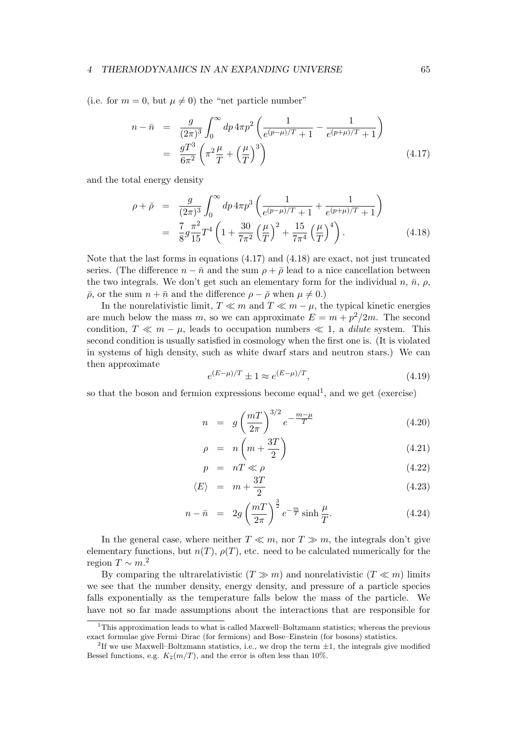(i.e. for  $m = 0$ , but  $\mu \neq 0$ ) the "net particle number"

$$
n - \bar{n} = \frac{g}{(2\pi)^3} \int_0^\infty dp \, 4\pi p^2 \left( \frac{1}{e^{(p-\mu)/T} + 1} - \frac{1}{e^{(p+\mu)/T} + 1} \right)
$$
  
= 
$$
\frac{gT^3}{6\pi^2} \left( \pi^2 \frac{\mu}{T} + \left( \frac{\mu}{T} \right)^3 \right)
$$
(4.17)

and the total energy density

$$
\rho + \bar{\rho} = \frac{g}{(2\pi)^3} \int_0^\infty dp \, 4\pi p^3 \left( \frac{1}{e^{(p-\mu)/T} + 1} + \frac{1}{e^{(p+\mu)/T} + 1} \right)
$$
  
=  $\frac{7}{8} g \frac{\pi^2}{15} T^4 \left( 1 + \frac{30}{7\pi^2} \left( \frac{\mu}{T} \right)^2 + \frac{15}{7\pi^4} \left( \frac{\mu}{T} \right)^4 \right).$  (4.18)

Note that the last forms in equations (4.17) and (4.18) are exact, not just truncated series. (The difference  $n - \bar{n}$  and the sum  $\rho + \bar{\rho}$  lead to a nice cancellation between the two integrals. We don't get such an elementary form for the individual  $n, \bar{n}, \rho$ ,  $\bar{\rho}$ , or the sum  $n + \bar{n}$  and the difference  $\rho - \bar{\rho}$  when  $\mu \neq 0$ .)

In the nonrelativistic limit,  $T \ll m$  and  $T \ll m - \mu$ , the typical kinetic energies are much below the mass m, so we can approximate  $E = m + p^2/2m$ . The second condition,  $T \ll m - \mu$ , leads to occupation numbers  $\ll 1$ , a *dilute* system. This second condition is usually satisfied in cosmology when the first one is. (It is violated in systems of high density, such as white dwarf stars and neutron stars.) We can then approximate

$$
e^{(E-\mu)/T} \pm 1 \approx e^{(E-\mu)/T}, \tag{4.19}
$$

so that the boson and fermion expressions become equal<sup>1</sup>, and we get (exercise)

$$
n = g\left(\frac{m}{2\pi}\right)^{3/2}e^{-\frac{m-\mu}{T}}
$$
\n(4.20)

$$
\rho = n \left( m + \frac{3T}{2} \right) \tag{4.21}
$$

$$
p = nT \ll \rho \tag{4.22}
$$

$$
\langle E \rangle = m + \frac{3T}{2} \tag{4.23}
$$

$$
n - \bar{n} = 2g\left(\frac{m}{2\pi}\right)^{\frac{3}{2}}e^{-\frac{m}{T}}\sinh\frac{\mu}{T}.
$$
 (4.24)

In the general case, where neither  $T \ll m$ , nor  $T \gg m$ , the integrals don't give elementary functions, but  $n(T)$ ,  $\rho(T)$ , etc. need to be calculated numerically for the region  $T \sim m$ .<sup>2</sup>

By comparing the ultrarelativistic  $(T \gg m)$  and nonrelativistic  $(T \ll m)$  limits we see that the number density, energy density, and pressure of a particle species falls exponentially as the temperature falls below the mass of the particle. We have not so far made assumptions about the interactions that are responsible for

<sup>&</sup>lt;sup>1</sup>This approximation leads to what is called Maxwell–Boltzmann statistics; whereas the previous exact formulae give Fermi–Dirac (for fermions) and Bose–Einstein (for bosons) statistics.

<sup>&</sup>lt;sup>2</sup>If we use Maxwell–Boltzmann statistics, i.e., we drop the term  $\pm 1$ , the integrals give modified Bessel functions, e.g.  $K_2(m/T)$ , and the error is often less than 10%.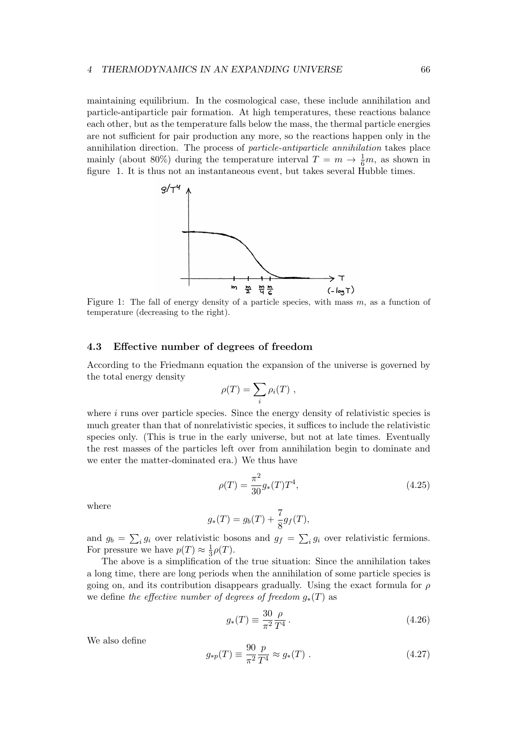maintaining equilibrium. In the cosmological case, these include annihilation and particle-antiparticle pair formation. At high temperatures, these reactions balance each other, but as the temperature falls below the mass, the thermal particle energies are not sufficient for pair production any more, so the reactions happen only in the annihilation direction. The process of particle-antiparticle annihilation takes place mainly (about 80%) during the temperature interval  $T = m \rightarrow \frac{1}{6}m$ , as shown in figure 1. It is thus not an instantaneous event, but takes several Hubble times.



Figure 1: The fall of energy density of a particle species, with mass  $m$ , as a function of temperature (decreasing to the right).

# 4.3 Effective number of degrees of freedom

According to the Friedmann equation the expansion of the universe is governed by the total energy density

$$
\rho(T) = \sum_i \rho_i(T) ,
$$

where  $i$  runs over particle species. Since the energy density of relativistic species is much greater than that of nonrelativistic species, it suffices to include the relativistic species only. (This is true in the early universe, but not at late times. Eventually the rest masses of the particles left over from annihilation begin to dominate and we enter the matter-dominated era.) We thus have

$$
\rho(T) = \frac{\pi^2}{30} g_*(T) T^4,\tag{4.25}
$$

where

$$
g_*(T) = g_b(T) + \frac{7}{8}g_f(T),
$$

and  $g_b = \sum_i g_i$  over relativistic bosons and  $g_f = \sum_i g_i$  over relativistic fermions. For pressure we have  $p(T) \approx \frac{1}{3}$  $rac{1}{3}\rho(T).$ 

The above is a simplification of the true situation: Since the annihilation takes a long time, there are long periods when the annihilation of some particle species is going on, and its contribution disappears gradually. Using the exact formula for  $\rho$ we define the effective number of degrees of freedom  $g_*(T)$  as

$$
g_*(T) \equiv \frac{30 \, \rho}{\pi^2 \, T^4} \,. \tag{4.26}
$$

We also define

$$
g_{*p}(T) \equiv \frac{90}{\pi^2} \frac{p}{T^4} \approx g_*(T) \tag{4.27}
$$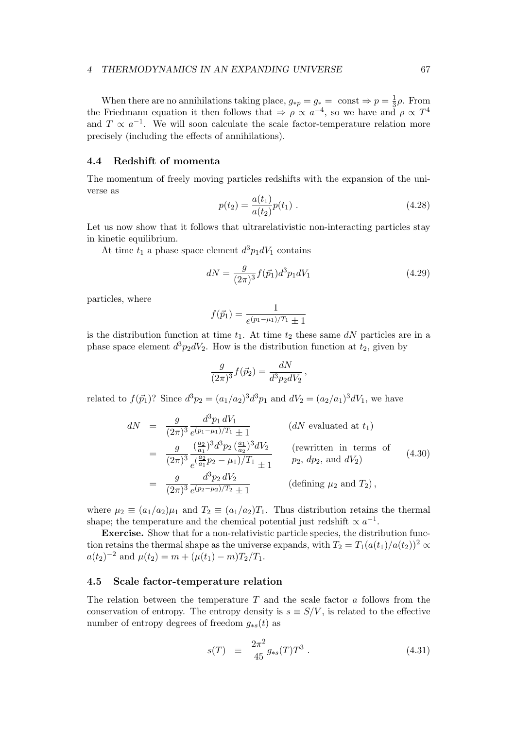When there are no annihilations taking place,  $g_{*p} = g_* = \text{ const} \Rightarrow p = \frac{1}{3}$  $rac{1}{3}\rho$ . From the Friedmann equation it then follows that  $\Rightarrow \rho \propto a^{-4}$ , so we have and  $\rho \propto T^4$ and  $T \propto a^{-1}$ . We will soon calculate the scale factor-temperature relation more precisely (including the effects of annihilations).

## 4.4 Redshift of momenta

The momentum of freely moving particles redshifts with the expansion of the universe as

$$
p(t_2) = \frac{a(t_1)}{a(t_2)} p(t_1) . \tag{4.28}
$$

Let us now show that it follows that ultrarelativistic non-interacting particles stay in kinetic equilibrium.

At time  $t_1$  a phase space element  $d^3p_1dV_1$  contains

$$
dN = \frac{g}{(2\pi)^3} f(\vec{p}_1) d^3 p_1 dV_1 \tag{4.29}
$$

,

particles, where

$$
f(\vec{p}_1) = \frac{1}{e^{(p_1 - \mu_1)/T_1} \pm 1}
$$

is the distribution function at time  $t_1$ . At time  $t_2$  these same  $dN$  particles are in a phase space element  $d^3p_2dV_2$ . How is the distribution function at  $t_2$ , given by

$$
\frac{g}{(2\pi)^3} f(\vec{p}_2) = \frac{dN}{d^3 p_2 dV_2}
$$

related to  $f(\vec{p}_1)$ ? Since  $d^3p_2 = (a_1/a_2)^3 d^3p_1$  and  $dV_2 = (a_2/a_1)^3 dV_1$ , we have

$$
dN = \frac{g}{(2\pi)^3} \frac{d^3 p_1 dV_1}{e^{(p_1 - \mu_1)/T_1} \pm 1}
$$
 (*dN* evaluated at  $t_1$ )  
\n
$$
= \frac{g}{(2\pi)^3} \frac{(\frac{a_2}{a_1})^3 d^3 p_2 (\frac{a_1}{a_2})^3 dV_2}{e^{(\frac{a_2}{a_1}p_2 - \mu_1)/T_1} \pm 1}
$$
 (rewritten in terms of  $p_2$ ,  $dp_2$ , and  $dV_2$ )  
\n
$$
= \frac{g}{(2\pi)^3} \frac{d^3 p_2 dV_2}{e^{(p_2 - \mu_2)/T_2} \pm 1}
$$
 (defining  $\mu_2$  and  $T_2$ ), (defining  $\mu_2$  and  $T_2$ )

where  $\mu_2 \equiv (a_1/a_2)\mu_1$  and  $T_2 \equiv (a_1/a_2)T_1$ . Thus distribution retains the thermal shape; the temperature and the chemical potential just redshift  $\propto a^{-1}$ .

Exercise. Show that for a non-relativistic particle species, the distribution function retains the thermal shape as the universe expands, with  $T_2 = T_1(a(t_1)/a(t_2))^2 \propto$  $a(t_2)^{-2}$  and  $\mu(t_2) = m + (\mu(t_1) - m)T_2/T_1$ .

# 4.5 Scale factor-temperature relation

The relation between the temperature  $T$  and the scale factor  $a$  follows from the conservation of entropy. The entropy density is  $s \equiv S/V$ , is related to the effective number of entropy degrees of freedom  $g_{*s}(t)$  as

$$
s(T) \equiv \frac{2\pi^2}{45} g_{*s}(T) T^3 \ . \tag{4.31}
$$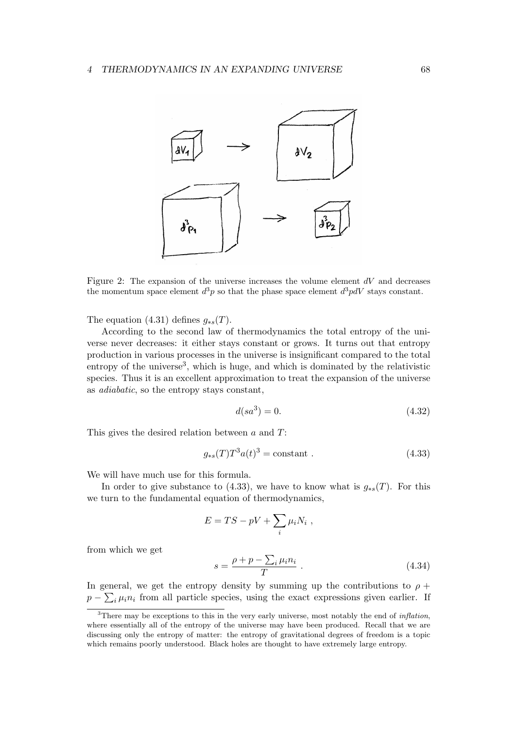

Figure 2: The expansion of the universe increases the volume element  $dV$  and decreases the momentum space element  $d^3p$  so that the phase space element  $d^3p dV$  stays constant.

The equation (4.31) defines  $g_{\ast s}(T)$ .

According to the second law of thermodynamics the total entropy of the universe never decreases: it either stays constant or grows. It turns out that entropy production in various processes in the universe is insignificant compared to the total entropy of the universe<sup>3</sup>, which is huge, and which is dominated by the relativistic species. Thus it is an excellent approximation to treat the expansion of the universe as adiabatic, so the entropy stays constant,

$$
d(sa^3) = 0.\t(4.32)
$$

This gives the desired relation between a and T:

$$
g_{*s}(T)T^3a(t)^3 = \text{constant} \tag{4.33}
$$

We will have much use for this formula.

In order to give substance to (4.33), we have to know what is  $g_{*s}(T)$ . For this we turn to the fundamental equation of thermodynamics,

$$
E = TS - pV + \sum_{i} \mu_i N_i ,
$$

from which we get

$$
s = \frac{\rho + p - \sum_{i} \mu_i n_i}{T} \tag{4.34}
$$

In general, we get the entropy density by summing up the contributions to  $\rho$  +  $p - \sum_i \mu_i n_i$  from all particle species, using the exact expressions given earlier. If

<sup>&</sup>lt;sup>3</sup>There may be exceptions to this in the very early universe, most notably the end of *inflation*, where essentially all of the entropy of the universe may have been produced. Recall that we are discussing only the entropy of matter: the entropy of gravitational degrees of freedom is a topic which remains poorly understood. Black holes are thought to have extremely large entropy.